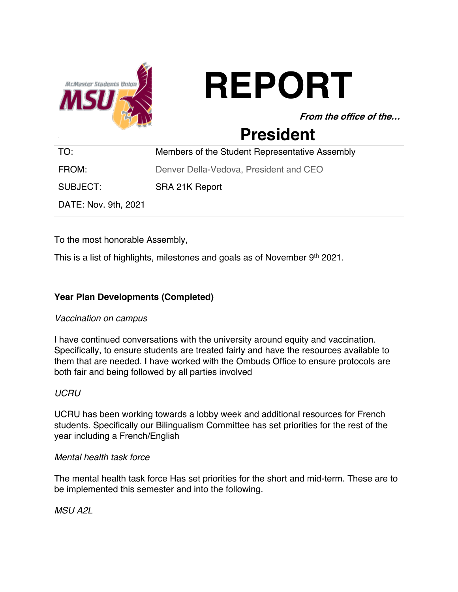

# **REPORT**

**From the office of the…**

# **President**

| TO:                  | Members of the Student Representative Assembly |
|----------------------|------------------------------------------------|
| FROM:                | Denver Della-Vedova, President and CEO         |
| SUBJECT:             | SRA 21K Report                                 |
| DATE: Nov. 9th, 2021 |                                                |

To the most honorable Assembly,

This is a list of highlights, milestones and goals as of November 9<sup>th</sup> 2021.

# **Year Plan Developments (Completed)**

#### *Vaccination on campus*

I have continued conversations with the university around equity and vaccination. Specifically, to ensure students are treated fairly and have the resources available to them that are needed. I have worked with the Ombuds Office to ensure protocols are both fair and being followed by all parties involved

# *UCRU*

UCRU has been working towards a lobby week and additional resources for French students. Specifically our Bilingualism Committee has set priorities for the rest of the year including a French/English

#### *Mental health task force*

The mental health task force Has set priorities for the short and mid-term. These are to be implemented this semester and into the following.

*MSU A2L*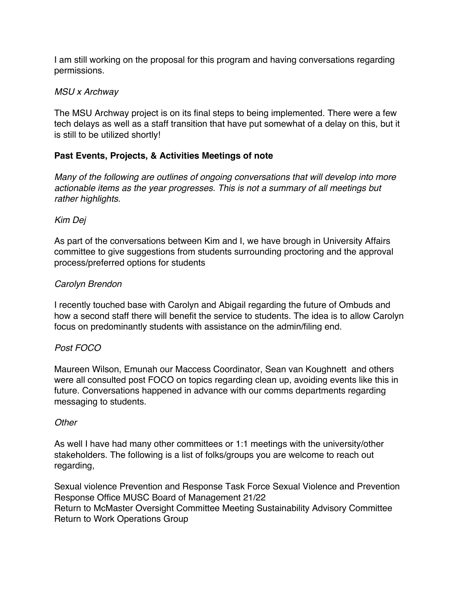I am still working on the proposal for this program and having conversations regarding permissions.

#### *MSU x Archway*

The MSU Archway project is on its final steps to being implemented. There were a few tech delays as well as a staff transition that have put somewhat of a delay on this, but it is still to be utilized shortly!

# **Past Events, Projects, & Activities Meetings of note**

*Many of the following are outlines of ongoing conversations that will develop into more actionable items as the year progresses. This is not a summary of all meetings but rather highlights.* 

#### *Kim Dej*

As part of the conversations between Kim and I, we have brough in University Affairs committee to give suggestions from students surrounding proctoring and the approval process/preferred options for students

#### *Carolyn Brendon*

I recently touched base with Carolyn and Abigail regarding the future of Ombuds and how a second staff there will benefit the service to students. The idea is to allow Carolyn focus on predominantly students with assistance on the admin/filing end.

# *Post FOCO*

Maureen Wilson, Emunah our Maccess Coordinator, Sean van Koughnett and others were all consulted post FOCO on topics regarding clean up, avoiding events like this in future. Conversations happened in advance with our comms departments regarding messaging to students.

#### *Other*

As well I have had many other committees or 1:1 meetings with the university/other stakeholders. The following is a list of folks/groups you are welcome to reach out regarding,

Sexual violence Prevention and Response Task Force Sexual Violence and Prevention Response Office MUSC Board of Management 21/22 Return to McMaster Oversight Committee Meeting Sustainability Advisory Committee Return to Work Operations Group